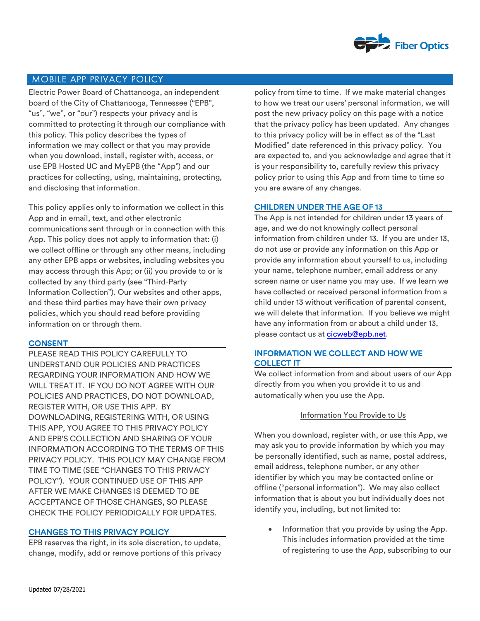

# MOBILE APP PRIVACY POLICY

Electric Power Board of Chattanooga, an independent board of the City of Chattanooga, Tennessee ("EPB", "us", "we", or "our") respects your privacy and is committed to protecting it through our compliance with this policy. This policy describes the types of information we may collect or that you may provide when you download, install, register with, access, or use EPB Hosted UC and MyEPB (the "App") and our practices for collecting, using, maintaining, protecting, and disclosing that information.

This policy applies only to information we collect in this App and in email, text, and other electronic communications sent through or in connection with this App. This policy does not apply to information that: (i) we collect offline or through any other means, including any other EPB apps or websites, including websites you may access through this App; or (ii) you provide to or is collected by any third party (see "Third-Party Information Collection"). Our websites and other apps, and these third parties may have their own privacy policies, which you should read before providing information on or through them.

#### **CONSENT**

PLEASE READ THIS POLICY CAREFULLY TO UNDERSTAND OUR POLICIES AND PRACTICES REGARDING YOUR INFORMATION AND HOW WE WILL TREAT IT. IF YOU DO NOT AGREE WITH OUR POLICIES AND PRACTICES, DO NOT DOWNLOAD, REGISTER WITH, OR USE THIS APP. BY DOWNLOADING, REGISTERING WITH, OR USING THIS APP, YOU AGREE TO THIS PRIVACY POLICY AND EPB'S COLLECTION AND SHARING OF YOUR INFORMATION ACCORDING TO THE TERMS OF THIS PRIVACY POLICY. THIS POLICY MAY CHANGE FROM TIME TO TIME (SEE "CHANGES TO THIS PRIVACY POLICY"). YOUR CONTINUED USE OF THIS APP AFTER WE MAKE CHANGES IS DEEMED TO BE ACCEPTANCE OF THOSE CHANGES, SO PLEASE CHECK THE POLICY PERIODICALLY FOR UPDATES.

### CHANGES TO THIS PRIVACY POLICY

EPB reserves the right, in its sole discretion, to update, change, modify, add or remove portions of this privacy policy from time to time. If we make material changes to how we treat our users' personal information, we will post the new privacy policy on this page with a notice that the privacy policy has been updated. Any changes to this privacy policy will be in effect as of the "Last Modified" date referenced in this privacy policy. You are expected to, and you acknowledge and agree that it is your responsibility to, carefully review this privacy policy prior to using this App and from time to time so you are aware of any changes.

### CHILDREN UNDER THE AGE OF 13

The App is not intended for children under 13 years of age, and we do not knowingly collect personal information from children under 13. If you are under 13, do not use or provide any information on this App or provide any information about yourself to us, including your name, telephone number, email address or any screen name or user name you may use. If we learn we have collected or received personal information from a child under 13 without verification of parental consent, we will delete that information. If you believe we might have any information from or about a child under 13, please contact us at cicweb@epb.net.

### INFORMATION WE COLLECT AND HOW WE COLLECT IT

We collect information from and about users of our App directly from you when you provide it to us and automatically when you use the App.

#### Information You Provide to Us

When you download, register with, or use this App, we may ask you to provide information by which you may be personally identified, such as name, postal address, email address, telephone number, or any other identifier by which you may be contacted online or offline ("personal information"). We may also collect information that is about you but individually does not identify you, including, but not limited to:

Information that you provide by using the App. This includes information provided at the time of registering to use the App, subscribing to our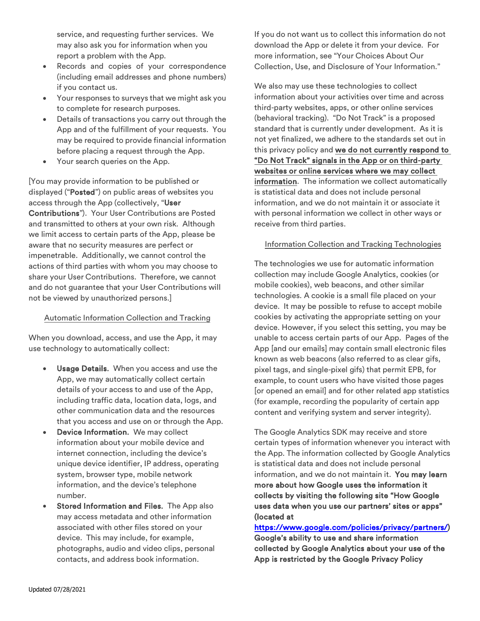service, and requesting further services. We may also ask you for information when you report a problem with the App.

- Records and copies of your correspondence (including email addresses and phone numbers) if you contact us.
- Your responses to surveys that we might ask you to complete for research purposes.
- Details of transactions you carry out through the App and of the fulfillment of your requests. You may be required to provide financial information before placing a request through the App.
- Your search queries on the App.

[You may provide information to be published or displayed ("Posted") on public areas of websites you access through the App (collectively, "User Contributions"). Your User Contributions are Posted and transmitted to others at your own risk. Although we limit access to certain parts of the App, please be aware that no security measures are perfect or impenetrable. Additionally, we cannot control the actions of third parties with whom you may choose to share your User Contributions. Therefore, we cannot and do not guarantee that your User Contributions will not be viewed by unauthorized persons.]

# Automatic Information Collection and Tracking

When you download, access, and use the App, it may use technology to automatically collect:

- Usage Details. When you access and use the App, we may automatically collect certain details of your access to and use of the App, including traffic data, location data, logs, and other communication data and the resources that you access and use on or through the App.
- Device Information. We may collect information about your mobile device and internet connection, including the device's unique device identifier, IP address, operating system, browser type, mobile network information, and the device's telephone number.
- Stored Information and Files. The App also may access metadata and other information associated with other files stored on your device. This may include, for example, photographs, audio and video clips, personal contacts, and address book information.

If you do not want us to collect this information do not download the App or delete it from your device. For more information, see "Your Choices About Our Collection, Use, and Disclosure of Your Information."

We also may use these technologies to collect information about your activities over time and across third-party websites, apps, or other online services (behavioral tracking). "Do Not Track" is a proposed standard that is currently under development. As it is not yet finalized, we adhere to the standards set out in this privacy policy and we do not currently respond to "Do Not Track" signals in the App or on third-party websites or online services where we may collect information. The information we collect automatically is statistical data and does not include personal information, and we do not maintain it or associate it with personal information we collect in other ways or receive from third parties.

## Information Collection and Tracking Technologies

The technologies we use for automatic information collection may include Google Analytics, cookies (or mobile cookies), web beacons, and other similar technologies. A cookie is a small file placed on your device. It may be possible to refuse to accept mobile cookies by activating the appropriate setting on your device. However, if you select this setting, you may be unable to access certain parts of our App. Pages of the App [and our emails] may contain small electronic files known as web beacons (also referred to as clear gifs, pixel tags, and single-pixel gifs) that permit EPB, for example, to count users who have visited those pages [or opened an email] and for other related app statistics (for example, recording the popularity of certain app content and verifying system and server integrity).

The Google Analytics SDK may receive and store certain types of information whenever you interact with the App. The information collected by Google Analytics is statistical data and does not include personal information, and we do not maintain it. You may learn more about how Google uses the information it collects by visiting the following site "How Google uses data when you use our partners' sites or apps" (located at

# https://www.google.com/policies/privacy/partners/) Google's ability to use and share information collected by Google Analytics about your use of the App is restricted by the Google Privacy Policy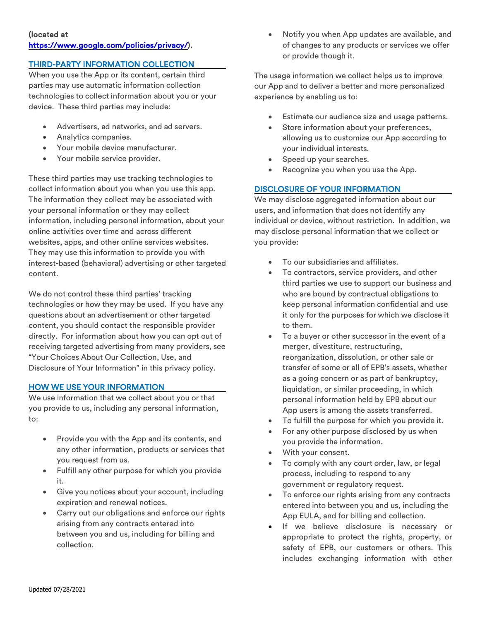# (located at https://www.google.com/policies/privacy/).

# THIRD-PARTY INFORMATION COLLECTION

When you use the App or its content, certain third parties may use automatic information collection technologies to collect information about you or your device. These third parties may include:

- Advertisers, ad networks, and ad servers.
- Analytics companies.
- Your mobile device manufacturer.
- Your mobile service provider.

These third parties may use tracking technologies to collect information about you when you use this app. The information they collect may be associated with your personal information or they may collect information, including personal information, about your online activities over time and across different websites, apps, and other online services websites. They may use this information to provide you with interest-based (behavioral) advertising or other targeted content.

We do not control these third parties' tracking technologies or how they may be used. If you have any questions about an advertisement or other targeted content, you should contact the responsible provider directly. For information about how you can opt out of receiving targeted advertising from many providers, see "Your Choices About Our Collection, Use, and Disclosure of Your Information" in this privacy policy.

#### HOW WE USE YOUR INFORMATION

We use information that we collect about you or that you provide to us, including any personal information, to:

- Provide you with the App and its contents, and any other information, products or services that you request from us.
- Fulfill any other purpose for which you provide it.
- Give you notices about your account, including expiration and renewal notices.
- Carry out our obligations and enforce our rights arising from any contracts entered into between you and us, including for billing and collection.

• Notify you when App updates are available, and of changes to any products or services we offer or provide though it.

The usage information we collect helps us to improve our App and to deliver a better and more personalized experience by enabling us to:

- Estimate our audience size and usage patterns.
- Store information about your preferences, allowing us to customize our App according to your individual interests.
- Speed up your searches.
- Recognize you when you use the App.

### DISCLOSURE OF YOUR INFORMATION

We may disclose aggregated information about our users, and information that does not identify any individual or device, without restriction. In addition, we may disclose personal information that we collect or you provide:

- To our subsidiaries and affiliates.
- To contractors, service providers, and other third parties we use to support our business and who are bound by contractual obligations to keep personal information confidential and use it only for the purposes for which we disclose it to them.
- To a buyer or other successor in the event of a merger, divestiture, restructuring, reorganization, dissolution, or other sale or transfer of some or all of EPB's assets, whether as a going concern or as part of bankruptcy, liquidation, or similar proceeding, in which personal information held by EPB about our App users is among the assets transferred.
- To fulfill the purpose for which you provide it.
- For any other purpose disclosed by us when you provide the information.
- With your consent.
- To comply with any court order, law, or legal process, including to respond to any government or regulatory request.
- To enforce our rights arising from any contracts entered into between you and us, including the App EULA, and for billing and collection.
- If we believe disclosure is necessary or appropriate to protect the rights, property, or safety of EPB, our customers or others. This includes exchanging information with other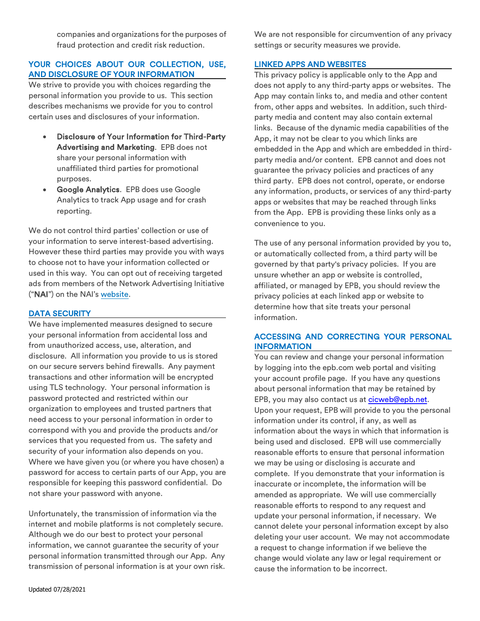companies and organizations for the purposes of fraud protection and credit risk reduction.

### YOUR CHOICES ABOUT OUR COLLECTION, USE, AND DISCLOSURE OF YOUR INFORMATION

We strive to provide you with choices regarding the personal information you provide to us. This section describes mechanisms we provide for you to control certain uses and disclosures of your information.

- Disclosure of Your Information for Third-Party Advertising and Marketing. EPB does not share your personal information with unaffiliated third parties for promotional purposes.
- Google Analytics. EPB does use Google Analytics to track App usage and for crash reporting.

We do not control third parties' collection or use of your information to serve interest-based advertising. However these third parties may provide you with ways to choose not to have your information collected or used in this way. You can opt out of receiving targeted ads from members of the Network Advertising Initiative ("NAI") on the NAI's website.

### DATA SECURITY

We have implemented measures designed to secure your personal information from accidental loss and from unauthorized access, use, alteration, and disclosure. All information you provide to us is stored on our secure servers behind firewalls. Any payment transactions and other information will be encrypted using TLS technology. Your personal information is password protected and restricted within our organization to employees and trusted partners that need access to your personal information in order to correspond with you and provide the products and/or services that you requested from us. The safety and security of your information also depends on you. Where we have given you (or where you have chosen) a password for access to certain parts of our App, you are responsible for keeping this password confidential. Do not share your password with anyone.

Unfortunately, the transmission of information via the internet and mobile platforms is not completely secure. Although we do our best to protect your personal information, we cannot guarantee the security of your personal information transmitted through our App. Any transmission of personal information is at your own risk.

We are not responsible for circumvention of any privacy settings or security measures we provide.

### LINKED APPS AND WEBSITES

This privacy policy is applicable only to the App and does not apply to any third-party apps or websites. The App may contain links to, and media and other content from, other apps and websites. In addition, such thirdparty media and content may also contain external links. Because of the dynamic media capabilities of the App, it may not be clear to you which links are embedded in the App and which are embedded in thirdparty media and/or content. EPB cannot and does not guarantee the privacy policies and practices of any third party. EPB does not control, operate, or endorse any information, products, or services of any third-party apps or websites that may be reached through links from the App. EPB is providing these links only as a convenience to you.

The use of any personal information provided by you to, or automatically collected from, a third party will be governed by that party's privacy policies. If you are unsure whether an app or website is controlled, affiliated, or managed by EPB, you should review the privacy policies at each linked app or website to determine how that site treats your personal information.

### ACCESSING AND CORRECTING YOUR PERSONAL INFORMATION

You can review and change your personal information by logging into the epb.com web portal and visiting your account profile page. If you have any questions about personal information that may be retained by EPB, you may also contact us at cicweb@epb.net. Upon your request, EPB will provide to you the personal information under its control, if any, as well as information about the ways in which that information is being used and disclosed. EPB will use commercially reasonable efforts to ensure that personal information we may be using or disclosing is accurate and complete. If you demonstrate that your information is inaccurate or incomplete, the information will be amended as appropriate. We will use commercially reasonable efforts to respond to any request and update your personal information, if necessary. We cannot delete your personal information except by also deleting your user account. We may not accommodate a request to change information if we believe the change would violate any law or legal requirement or cause the information to be incorrect.